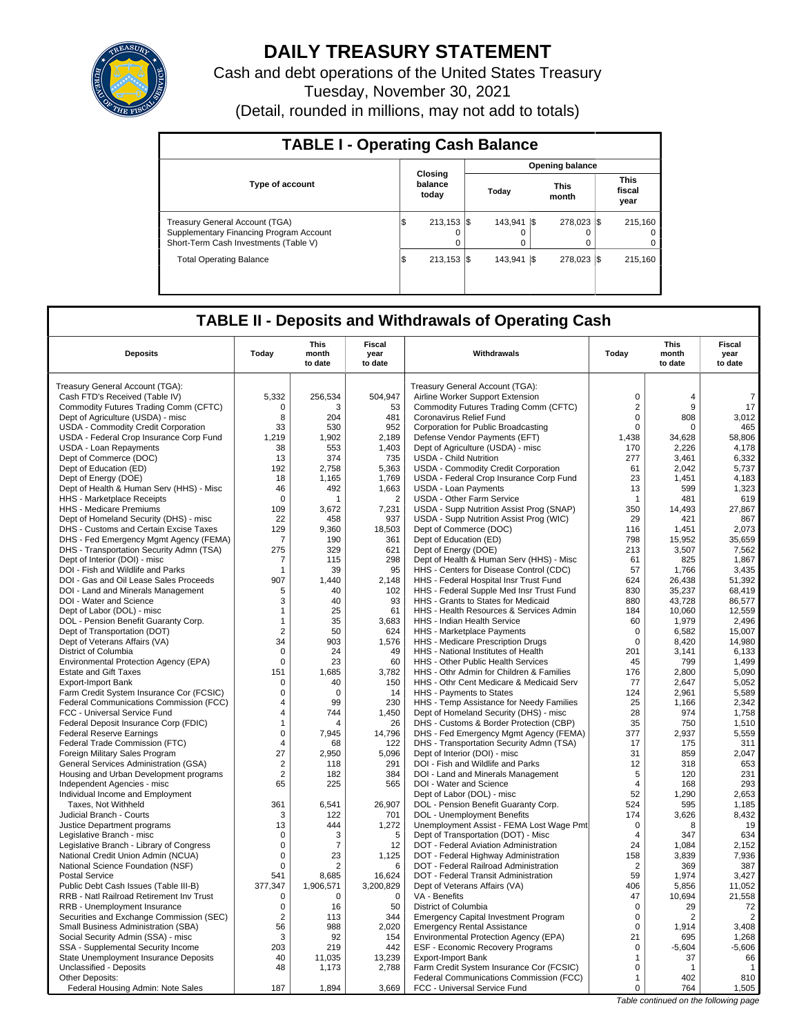

# **DAILY TREASURY STATEMENT**

Cash and debt operations of the United States Treasury Tuesday, November 30, 2021 (Detail, rounded in millions, may not add to totals)

| <b>TABLE I - Operating Cash Balance</b>                                                                            |    |                             |              |           |                      |                                 |
|--------------------------------------------------------------------------------------------------------------------|----|-----------------------------|--------------|-----------|----------------------|---------------------------------|
|                                                                                                                    |    |                             |              |           | Opening balance      |                                 |
| <b>Type of account</b>                                                                                             |    | Closing<br>balance<br>today | Today        |           | <b>This</b><br>month | <b>This</b><br>fiscal<br>year   |
| Treasury General Account (TGA)<br>Supplementary Financing Program Account<br>Short-Term Cash Investments (Table V) | ۱J | $213.153$ S<br>$\Omega$     | 143.941<br>0 | I\$       | 278.023 \\$<br>o     | 215.160<br>$^{(1)}$<br>$\Omega$ |
| <b>Total Operating Balance</b>                                                                                     | ıъ | $213.153$ S                 | 143.941      | <b>IS</b> | 278.023 \$           | 215.160                         |

# **TABLE II - Deposits and Withdrawals of Operating Cash**

| <b>Deposits</b>                                                       | Today               | <b>This</b><br>month<br>to date | <b>Fiscal</b><br>year<br>to date | Withdrawals                                                                       | Today          | <b>This</b><br>month<br>to date | <b>Fiscal</b><br>year<br>to date |
|-----------------------------------------------------------------------|---------------------|---------------------------------|----------------------------------|-----------------------------------------------------------------------------------|----------------|---------------------------------|----------------------------------|
| Treasury General Account (TGA):                                       |                     |                                 |                                  | Treasury General Account (TGA):                                                   |                |                                 |                                  |
| Cash FTD's Received (Table IV)                                        | 5,332               | 256,534                         | 504,947                          | Airline Worker Support Extension                                                  | $\mathbf 0$    | $\overline{4}$                  | $\overline{7}$                   |
| Commodity Futures Trading Comm (CFTC)                                 | 0                   | 3                               | 53                               | Commodity Futures Trading Comm (CFTC)                                             | $\overline{2}$ | 9                               | 17                               |
| Dept of Agriculture (USDA) - misc                                     | 8                   | 204                             | 481                              | Coronavirus Relief Fund                                                           | $\mathbf 0$    | 808                             | 3,012                            |
| USDA - Commodity Credit Corporation                                   | 33                  | 530                             | 952                              | Corporation for Public Broadcasting                                               | $\mathsf 0$    | 0                               | 465                              |
| USDA - Federal Crop Insurance Corp Fund                               | 1,219               | 1,902                           | 2,189                            | Defense Vendor Payments (EFT)                                                     | 1.438          | 34.628                          | 58.806                           |
| USDA - Loan Repayments                                                | 38                  | 553                             | 1,403                            | Dept of Agriculture (USDA) - misc                                                 | 170            | 2,226                           | 4,178                            |
| Dept of Commerce (DOC)                                                | 13                  | 374                             | 735                              | <b>USDA - Child Nutrition</b>                                                     | 277            | 3,461                           | 6,332                            |
| Dept of Education (ED)                                                | 192                 | 2.758                           | 5,363                            | <b>USDA - Commodity Credit Corporation</b>                                        | 61             | 2.042                           | 5,737                            |
| Dept of Energy (DOE)                                                  | 18                  | 1,165                           | 1,769                            | USDA - Federal Crop Insurance Corp Fund                                           | 23             | 1,451                           | 4,183                            |
| Dept of Health & Human Serv (HHS) - Misc                              | 46                  | 492                             | 1,663                            | <b>USDA - Loan Payments</b>                                                       | 13             | 599                             | 1,323                            |
| HHS - Marketplace Receipts                                            | $\mathbf 0$         | 1                               | $\overline{2}$                   | USDA - Other Farm Service                                                         | $\overline{1}$ | 481                             | 619                              |
| HHS - Medicare Premiums                                               | 109                 | 3,672                           | 7,231                            | USDA - Supp Nutrition Assist Prog (SNAP)                                          | 350            | 14,493                          | 27,867                           |
| Dept of Homeland Security (DHS) - misc                                | 22                  | 458                             | 937                              | USDA - Supp Nutrition Assist Prog (WIC)                                           | 29             | 421                             | 867                              |
| DHS - Customs and Certain Excise Taxes                                | 129                 | 9,360                           | 18,503                           | Dept of Commerce (DOC)                                                            | 116            | 1,451                           | 2,073                            |
| DHS - Fed Emergency Mgmt Agency (FEMA)                                | 7                   | 190                             | 361                              | Dept of Education (ED)                                                            | 798            | 15,952                          | 35,659                           |
| DHS - Transportation Security Admn (TSA)                              | 275                 | 329                             | 621                              | Dept of Energy (DOE)                                                              | 213            | 3,507                           | 7,562                            |
| Dept of Interior (DOI) - misc                                         | 7                   | 115                             | 298                              | Dept of Health & Human Serv (HHS) - Misc                                          | 61             | 825                             | 1,867                            |
| DOI - Fish and Wildlife and Parks                                     | $\mathbf{1}$        | 39                              | 95                               | HHS - Centers for Disease Control (CDC)                                           | 57             | 1,766                           | 3,435                            |
| DOI - Gas and Oil Lease Sales Proceeds                                | 907                 | 1.440                           | 2,148                            | HHS - Federal Hospital Insr Trust Fund                                            | 624            | 26.438                          | 51,392                           |
| DOI - Land and Minerals Management                                    | 5                   | 40                              | 102                              | HHS - Federal Supple Med Insr Trust Fund                                          | 830            | 35,237                          | 68,419                           |
| DOI - Water and Science                                               | 3                   | 40                              | 93                               | HHS - Grants to States for Medicaid                                               | 880            | 43,728                          | 86,577                           |
| Dept of Labor (DOL) - misc                                            | 1                   | 25                              | 61                               | HHS - Health Resources & Services Admin                                           | 184            | 10.060                          | 12.559                           |
| DOL - Pension Benefit Guaranty Corp.                                  | $\mathbf{1}$        | 35                              | 3,683                            | HHS - Indian Health Service                                                       | 60             | 1,979                           | 2,496                            |
| Dept of Transportation (DOT)                                          | 2                   | 50                              | 624                              | HHS - Marketplace Payments                                                        | $\mathbf 0$    | 6.582                           | 15.007                           |
| Dept of Veterans Affairs (VA)                                         | 34                  | 903                             | 1,576                            | HHS - Medicare Prescription Drugs                                                 | $\mathbf 0$    | 8,420                           | 14,980                           |
| District of Columbia                                                  | $\Omega$            | 24                              | 49                               | HHS - National Institutes of Health                                               | 201            | 3,141                           | 6,133                            |
| Environmental Protection Agency (EPA)                                 | $\mathbf 0$         | 23                              | 60                               | HHS - Other Public Health Services                                                | 45             | 799                             | 1,499                            |
| <b>Estate and Gift Taxes</b>                                          | 151                 | 1,685                           | 3,782                            | HHS - Othr Admin for Children & Families                                          | 176            | 2,800                           | 5,090                            |
| Export-Import Bank                                                    | $\mathbf 0$         | 40                              | 150                              | HHS - Othr Cent Medicare & Medicaid Serv                                          | 77             | 2,647                           | 5,052                            |
| Farm Credit System Insurance Cor (FCSIC)                              | $\mathbf 0$         | $\Omega$<br>99                  | 14                               | HHS - Payments to States                                                          | 124            | 2,961                           | 5,589                            |
| Federal Communications Commission (FCC)                               | 4                   |                                 | 230                              | HHS - Temp Assistance for Needy Families                                          | 25             | 1.166                           | 2.342                            |
| FCC - Universal Service Fund<br>Federal Deposit Insurance Corp (FDIC) | 4<br>$\overline{1}$ | 744<br>Δ                        | 1,450<br>26                      | Dept of Homeland Security (DHS) - misc<br>DHS - Customs & Border Protection (CBP) | 28<br>35       | 974<br>750                      | 1,758<br>1.510                   |
| <b>Federal Reserve Earnings</b>                                       | $\pmb{0}$           | 7,945                           | 14,796                           | DHS - Fed Emergency Mgmt Agency (FEMA)                                            | 377            | 2,937                           | 5,559                            |
| Federal Trade Commission (FTC)                                        | 4                   | 68                              | 122                              | DHS - Transportation Security Admn (TSA)                                          | 17             | 175                             | 311                              |
| Foreign Military Sales Program                                        | 27                  | 2,950                           | 5,096                            | Dept of Interior (DOI) - misc                                                     | 31             | 859                             | 2,047                            |
| General Services Administration (GSA)                                 | $\overline{2}$      | 118                             | 291                              | DOI - Fish and Wildlife and Parks                                                 | 12             | 318                             | 653                              |
| Housing and Urban Development programs                                | $\overline{2}$      | 182                             | 384                              | DOI - Land and Minerals Management                                                | 5              | 120                             | 231                              |
| Independent Agencies - misc                                           | 65                  | 225                             | 565                              | DOI - Water and Science                                                           | $\overline{4}$ | 168                             | 293                              |
| Individual Income and Employment                                      |                     |                                 |                                  | Dept of Labor (DOL) - misc                                                        | 52             | 1,290                           | 2.653                            |
| Taxes, Not Withheld                                                   | 361                 | 6,541                           | 26,907                           | DOL - Pension Benefit Guaranty Corp.                                              | 524            | 595                             | 1,185                            |
| Judicial Branch - Courts                                              | 3                   | 122                             | 701                              | DOL - Unemployment Benefits                                                       | 174            | 3,626                           | 8,432                            |
| Justice Department programs                                           | 13                  | 444                             | 1,272                            | Unemployment Assist - FEMA Lost Wage Pmt                                          | $\mathbf 0$    | 8                               | 19                               |
| Legislative Branch - misc                                             | $\Omega$            | 3                               | 5                                | Dept of Transportation (DOT) - Misc                                               | $\overline{4}$ | 347                             | 634                              |
| Legislative Branch - Library of Congress                              | 0                   | 7                               | 12                               | DOT - Federal Aviation Administration                                             | 24             | 1,084                           | 2,152                            |
| National Credit Union Admin (NCUA)                                    | $\mathbf 0$         | 23                              | 1,125                            | DOT - Federal Highway Administration                                              | 158            | 3,839                           | 7,936                            |
| National Science Foundation (NSF)                                     | $\mathbf 0$         | $\overline{2}$                  | 6                                | DOT - Federal Railroad Administration                                             | $\overline{2}$ | 369                             | 387                              |
| <b>Postal Service</b>                                                 | 541                 | 8,685                           | 16,624                           | DOT - Federal Transit Administration                                              | 59             | 1,974                           | 3,427                            |
| Public Debt Cash Issues (Table III-B)                                 | 377,347             | 1,906,571                       | 3,200,829                        | Dept of Veterans Affairs (VA)                                                     | 406            | 5,856                           | 11,052                           |
| RRB - Natl Railroad Retirement Inv Trust                              | 0                   | 0                               | $\mathbf 0$                      | VA - Benefits                                                                     | 47             | 10,694                          | 21,558                           |
| RRB - Unemployment Insurance                                          | $\mathbf 0$         | 16                              | 50                               | District of Columbia                                                              | $\Omega$       | 29                              | 72                               |
| Securities and Exchange Commission (SEC)                              | $\overline{2}$      | 113                             | 344                              | <b>Emergency Capital Investment Program</b>                                       | $\mathbf 0$    | 2                               | $\overline{2}$                   |
| Small Business Administration (SBA)                                   | 56                  | 988                             | 2.020                            | <b>Emergency Rental Assistance</b>                                                | $\mathbf 0$    | 1,914                           | 3,408                            |
| Social Security Admin (SSA) - misc                                    | 3                   | 92                              | 154                              | Environmental Protection Agency (EPA)                                             | 21             | 695                             | 1,268                            |
| SSA - Supplemental Security Income                                    | 203                 | 219                             | 442                              | <b>ESF - Economic Recovery Programs</b>                                           | $\mathbf 0$    | $-5,604$                        | $-5,606$                         |
| <b>State Unemployment Insurance Deposits</b>                          | 40                  | 11,035                          | 13,239                           | <b>Export-Import Bank</b>                                                         | $\mathbf{1}$   | 37                              | 66                               |
| Unclassified - Deposits                                               | 48                  | 1,173                           | 2,788                            | Farm Credit System Insurance Cor (FCSIC)                                          | $\mathbf 0$    | -1                              | $\mathbf{1}$                     |
| Other Deposits:                                                       |                     |                                 |                                  | Federal Communications Commission (FCC)                                           | $\mathbf{1}$   | 402                             | 810                              |
| Federal Housing Admin: Note Sales                                     | 187                 | 1.894                           | 3.669                            | FCC - Universal Service Fund                                                      | 0              | 764                             | 1,505                            |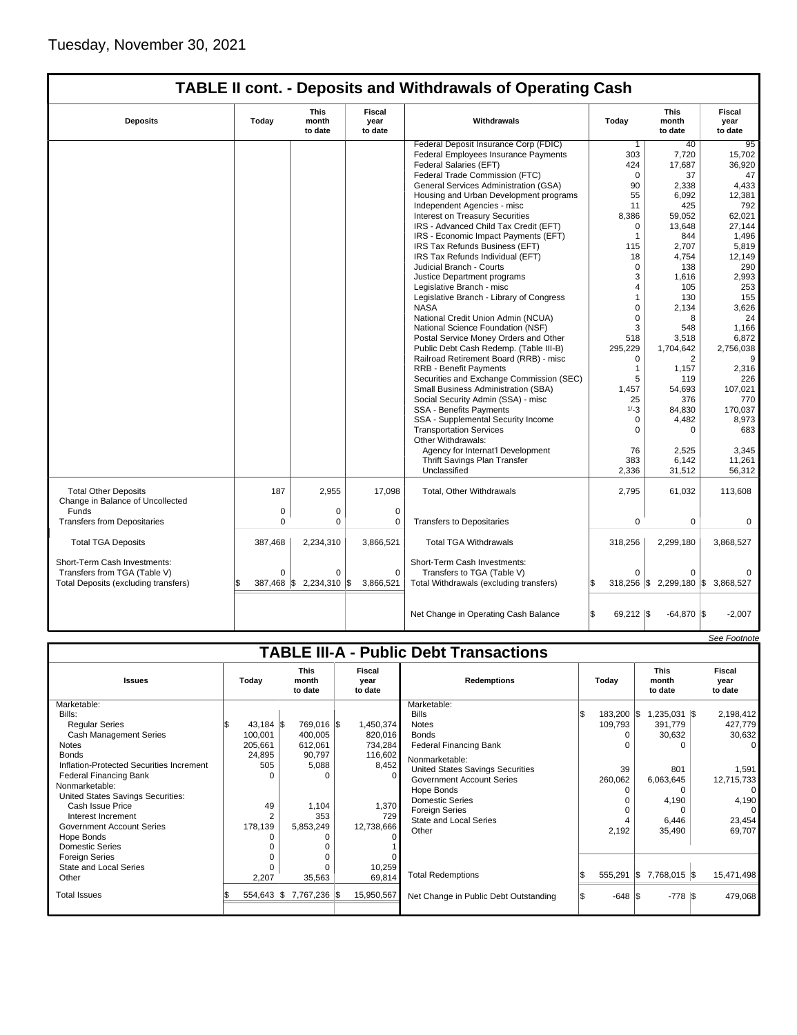|                                                                 |              |                                                                                    |                  | <b>TABLE II cont. - Deposits and Withdrawals of Operating Cash</b> |                                 |                           |                        |
|-----------------------------------------------------------------|--------------|------------------------------------------------------------------------------------|------------------|--------------------------------------------------------------------|---------------------------------|---------------------------|------------------------|
| <b>Deposits</b>                                                 | Today        | <b>This</b><br><b>Fiscal</b><br>month<br>year<br>Withdrawals<br>to date<br>to date |                  | Today                                                              | <b>This</b><br>month<br>to date | Fiscal<br>year<br>to date |                        |
|                                                                 |              |                                                                                    |                  | Federal Deposit Insurance Corp (FDIC)                              | $\mathbf{1}$                    | 40                        | 95                     |
|                                                                 |              |                                                                                    |                  | <b>Federal Employees Insurance Payments</b>                        | 303                             | 7,720                     | 15,702                 |
|                                                                 |              |                                                                                    |                  | Federal Salaries (EFT)                                             | 424                             | 17,687                    | 36,920                 |
|                                                                 |              |                                                                                    |                  | Federal Trade Commission (FTC)                                     | $\Omega$                        | 37                        | 47                     |
|                                                                 |              |                                                                                    |                  | General Services Administration (GSA)                              | 90                              | 2,338                     | 4,433                  |
|                                                                 |              |                                                                                    |                  | Housing and Urban Development programs                             | 55                              | 6,092                     | 12,381                 |
|                                                                 |              |                                                                                    |                  | Independent Agencies - misc                                        | 11                              | 425                       | 792                    |
|                                                                 |              |                                                                                    |                  | Interest on Treasury Securities                                    | 8,386                           | 59,052                    | 62,021                 |
|                                                                 |              |                                                                                    |                  | IRS - Advanced Child Tax Credit (EFT)                              | $\mathbf 0$                     | 13.648                    | 27,144                 |
|                                                                 |              |                                                                                    |                  | IRS - Economic Impact Payments (EFT)                               | 1                               | 844                       | 1,496                  |
|                                                                 |              |                                                                                    |                  | IRS Tax Refunds Business (EFT)                                     | 115                             | 2,707                     | 5,819                  |
|                                                                 |              |                                                                                    |                  | IRS Tax Refunds Individual (EFT)                                   | 18                              | 4,754                     | 12,149                 |
|                                                                 |              |                                                                                    |                  | Judicial Branch - Courts                                           | $\mathbf 0$                     | 138                       | 290                    |
|                                                                 |              |                                                                                    |                  | Justice Department programs                                        | 3                               | 1,616                     | 2,993                  |
|                                                                 |              |                                                                                    |                  | Legislative Branch - misc                                          | $\overline{4}$                  | 105                       | 253                    |
|                                                                 |              |                                                                                    |                  | Legislative Branch - Library of Congress                           | 1                               | 130                       | 155                    |
|                                                                 |              |                                                                                    |                  | <b>NASA</b>                                                        | $\mathbf 0$                     | 2,134                     | 3,626                  |
|                                                                 |              |                                                                                    |                  | National Credit Union Admin (NCUA)                                 | $\Omega$                        | 8                         | 24                     |
|                                                                 |              |                                                                                    |                  | National Science Foundation (NSF)                                  | 3                               | 548                       | 1.166                  |
|                                                                 |              |                                                                                    |                  | Postal Service Money Orders and Other                              | 518                             | 3,518                     | 6,872                  |
|                                                                 |              |                                                                                    |                  | Public Debt Cash Redemp. (Table III-B)                             | 295,229                         | 1,704,642                 | 2,756,038              |
|                                                                 |              |                                                                                    |                  | Railroad Retirement Board (RRB) - misc                             | $\mathbf 0$                     | 2                         | 9                      |
|                                                                 |              |                                                                                    |                  | <b>RRB - Benefit Payments</b>                                      | $\mathbf{1}$                    | 1.157                     | 2,316                  |
|                                                                 |              |                                                                                    |                  | Securities and Exchange Commission (SEC)                           | 5                               | 119                       | 226                    |
|                                                                 |              |                                                                                    |                  | Small Business Administration (SBA)                                | 1,457                           | 54,693                    | 107,021                |
|                                                                 |              |                                                                                    |                  | Social Security Admin (SSA) - misc                                 | 25                              | 376                       | 770                    |
|                                                                 |              |                                                                                    |                  | <b>SSA - Benefits Payments</b>                                     | $1/-3$                          | 84,830                    | 170,037                |
|                                                                 |              |                                                                                    |                  | SSA - Supplemental Security Income                                 | 0                               | 4,482                     | 8,973                  |
|                                                                 |              |                                                                                    |                  | <b>Transportation Services</b>                                     | $\Omega$                        | $\Omega$                  | 683                    |
|                                                                 |              |                                                                                    |                  | Other Withdrawals:                                                 |                                 |                           |                        |
|                                                                 |              |                                                                                    |                  | Agency for Internat'l Development                                  | 76                              | 2,525                     | 3,345                  |
|                                                                 |              |                                                                                    |                  | Thrift Savings Plan Transfer                                       | 383                             | 6,142                     | 11,261                 |
|                                                                 |              |                                                                                    |                  | Unclassified                                                       | 2,336                           | 31,512                    | 56,312                 |
|                                                                 |              |                                                                                    |                  |                                                                    |                                 |                           |                        |
| <b>Total Other Deposits</b><br>Change in Balance of Uncollected | 187          | 2,955                                                                              | 17,098           | Total, Other Withdrawals                                           | 2,795                           | 61,032                    | 113,608                |
| Funds                                                           | 0            | 0                                                                                  | $\mathbf 0$      |                                                                    |                                 |                           |                        |
| <b>Transfers from Depositaries</b>                              | $\Omega$     | 0                                                                                  | 0                | <b>Transfers to Depositaries</b>                                   | $\mathbf 0$                     | 0                         | 0                      |
|                                                                 |              |                                                                                    |                  |                                                                    |                                 |                           |                        |
| <b>Total TGA Deposits</b>                                       | 387,468      | 2,234,310                                                                          | 3,866,521        | <b>Total TGA Withdrawals</b>                                       | 318,256                         | 2,299,180                 | 3,868,527              |
| Short-Term Cash Investments:                                    |              |                                                                                    |                  | Short-Term Cash Investments:                                       |                                 |                           |                        |
| Transfers from TGA (Table V)                                    | $\Omega$     | 0                                                                                  | $\mathbf 0$      | Transfers to TGA (Table V)                                         | $\Omega$                        | 0                         |                        |
| Total Deposits (excluding transfers)                            | $387,468$ \$ | 2,234,310                                                                          | 1\$<br>3,866,521 | Total Withdrawals (excluding transfers)                            | \$.<br>$318,256$ \$             |                           | 2,299,180 \$ 3,868,527 |
|                                                                 |              |                                                                                    |                  |                                                                    |                                 |                           |                        |
|                                                                 |              |                                                                                    |                  | Net Change in Operating Cash Balance                               | \$<br>$69,212$ $\sqrt{5}$       | $-64,870$ $\sqrt{\$}$     | $-2,007$               |

|                                               |                                                                       |              |                    |              |       |            |                                       |  |                           |          |                |  | See Footnote |
|-----------------------------------------------|-----------------------------------------------------------------------|--------------|--------------------|--------------|-------|------------|---------------------------------------|--|---------------------------|----------|----------------|--|--------------|
| <b>TABLE III-A - Public Debt Transactions</b> |                                                                       |              |                    |              |       |            |                                       |  |                           |          |                |  |              |
| <b>Issues</b>                                 | <b>This</b><br>Fiscal<br>Today<br>month<br>vear<br>to date<br>to date |              | <b>Redemptions</b> |              | Todav |            | <b>This</b><br>month<br>to date       |  | Fiscal<br>vear<br>to date |          |                |  |              |
| Marketable:                                   |                                                                       |              |                    |              |       |            | Marketable:                           |  |                           |          |                |  |              |
| Bills:                                        |                                                                       |              |                    |              |       |            | <b>Bills</b>                          |  | 183,200 \$                |          | $1,235,031$ \$ |  | 2,198,412    |
| <b>Regular Series</b>                         |                                                                       | $43,184$ \$  |                    | 769,016 \$   |       | 1,450,374  | <b>Notes</b>                          |  | 109,793                   |          | 391,779        |  | 427,779      |
| <b>Cash Management Series</b>                 |                                                                       | 100,001      |                    | 400,005      |       | 820,016    | <b>Bonds</b>                          |  |                           |          | 30,632         |  | 30,632       |
| <b>Notes</b>                                  |                                                                       | 205,661      |                    | 612,061      |       | 734,284    | <b>Federal Financing Bank</b>         |  |                           |          |                |  | 0            |
| <b>Bonds</b>                                  |                                                                       | 24,895       |                    | 90,797       |       | 116,602    | Nonmarketable:                        |  |                           |          |                |  |              |
| Inflation-Protected Securities Increment      |                                                                       | 505          |                    | 5,088        |       | 8,452      | United States Savings Securities      |  | 39                        |          | 801            |  | 1,591        |
| <b>Federal Financing Bank</b>                 |                                                                       |              |                    | $\Omega$     |       |            | <b>Government Account Series</b>      |  | 260,062                   |          | 6,063,645      |  | 12,715,733   |
| Nonmarketable:                                |                                                                       |              |                    |              |       |            | Hope Bonds                            |  | 0                         |          | 0              |  | 0            |
| United States Savings Securities:             |                                                                       |              |                    |              |       |            | <b>Domestic Series</b>                |  |                           |          | 4,190          |  | 4,190        |
| Cash Issue Price                              |                                                                       | 49           |                    | 1,104        |       | 1,370      | <b>Foreign Series</b>                 |  |                           |          | 0              |  | 0            |
| Interest Increment                            |                                                                       |              |                    | 353          |       | 729        | <b>State and Local Series</b>         |  |                           |          | 6,446          |  | 23,454       |
| Government Account Series                     |                                                                       | 178,139      |                    | 5,853,249    |       | 12,738,666 | Other                                 |  | 2,192                     |          | 35,490         |  | 69,707       |
| Hope Bonds                                    |                                                                       |              |                    |              |       |            |                                       |  |                           |          |                |  |              |
| <b>Domestic Series</b>                        |                                                                       |              |                    |              |       |            |                                       |  |                           |          |                |  |              |
| <b>Foreign Series</b>                         |                                                                       |              |                    |              |       |            |                                       |  |                           |          |                |  |              |
| State and Local Series                        |                                                                       |              |                    | $\Omega$     |       | 10,259     |                                       |  |                           |          |                |  |              |
| Other                                         |                                                                       | 2,207        |                    | 35,563       |       | 69,814     | <b>Total Redemptions</b>              |  | 555,291                   | <b>S</b> | 7,768,015 \$   |  | 15,471,498   |
| <b>Total Issues</b>                           |                                                                       | $554,643$ \$ |                    | 7,767,236 \$ |       | 15,950,567 | Net Change in Public Debt Outstanding |  | $-648$ $\sqrt{\$}$        |          | $-778$ \$      |  | 479,068      |
|                                               |                                                                       |              |                    |              |       |            |                                       |  |                           |          |                |  |              |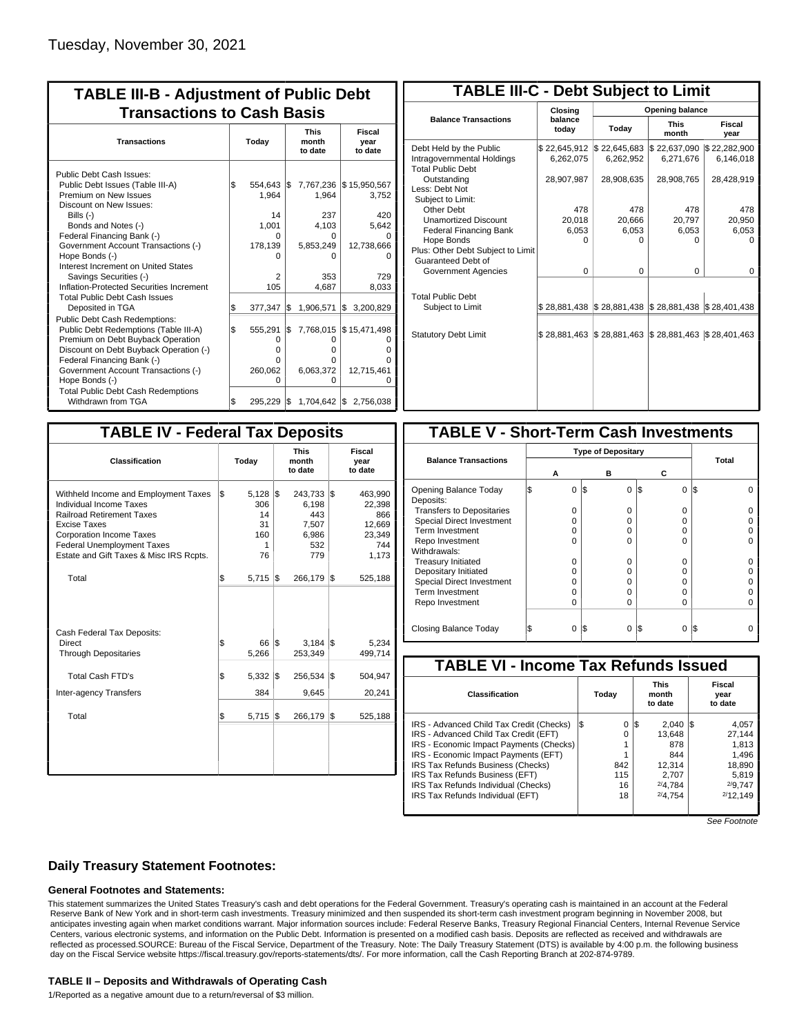| <b>TABLE III-B - Adjustment of Public Debt</b><br><b>Transactions to Cash Basis</b> |       |          |     |                                 |                           |  |  |  |  |  |  |
|-------------------------------------------------------------------------------------|-------|----------|-----|---------------------------------|---------------------------|--|--|--|--|--|--|
| <b>Transactions</b>                                                                 | Today |          |     | <b>This</b><br>month<br>to date | Fiscal<br>year<br>to date |  |  |  |  |  |  |
| Public Debt Cash Issues:                                                            |       |          |     |                                 |                           |  |  |  |  |  |  |
| Public Debt Issues (Table III-A)                                                    | l\$   | 554.643  | I\$ | 7,767,236                       | \$15,950,567              |  |  |  |  |  |  |
| Premium on New Issues                                                               |       | 1.964    |     | 1.964                           | 3,752                     |  |  |  |  |  |  |
| Discount on New Issues:                                                             |       |          |     |                                 |                           |  |  |  |  |  |  |
| Bills $(-)$                                                                         |       | 14       |     | 237                             | 420                       |  |  |  |  |  |  |
| Bonds and Notes (-)                                                                 |       | 1,001    |     | 4,103                           | 5,642                     |  |  |  |  |  |  |
| Federal Financing Bank (-)                                                          |       | O        |     | 0                               |                           |  |  |  |  |  |  |
| Government Account Transactions (-)                                                 |       | 178,139  |     | 5,853,249                       | 12,738,666                |  |  |  |  |  |  |
| Hope Bonds (-)                                                                      |       |          |     |                                 |                           |  |  |  |  |  |  |
| Interest Increment on United States                                                 |       |          |     |                                 |                           |  |  |  |  |  |  |
| Savings Securities (-)                                                              |       | 2        |     | 353                             | 729                       |  |  |  |  |  |  |
| Inflation-Protected Securities Increment                                            |       | 105      |     | 4,687                           | 8,033                     |  |  |  |  |  |  |
| <b>Total Public Debt Cash Issues</b>                                                |       |          |     |                                 |                           |  |  |  |  |  |  |
| Deposited in TGA                                                                    | \$    | 377,347  | l\$ | 1,906,571                       | Ι\$<br>3,200,829          |  |  |  |  |  |  |
| Public Debt Cash Redemptions:                                                       |       |          |     |                                 |                           |  |  |  |  |  |  |
| Public Debt Redemptions (Table III-A)                                               | \$    | 555.291  | l\$ | 7,768,015                       | \$15,471,498              |  |  |  |  |  |  |
| Premium on Debt Buyback Operation                                                   |       | $\Omega$ |     | O                               | O                         |  |  |  |  |  |  |
| Discount on Debt Buyback Operation (-)                                              |       | $\Omega$ |     | o                               | ი                         |  |  |  |  |  |  |
| Federal Financing Bank (-)                                                          |       | 0        |     | o                               | U                         |  |  |  |  |  |  |
| Government Account Transactions (-)                                                 |       | 260,062  |     | 6,063,372                       | 12,715,461                |  |  |  |  |  |  |
| Hope Bonds (-)                                                                      |       | O        |     | 0                               | O                         |  |  |  |  |  |  |
| <b>Total Public Debt Cash Redemptions</b>                                           |       |          |     |                                 |                           |  |  |  |  |  |  |
| Withdrawn from TGA                                                                  | \$    | 295,229  | 1\$ |                                 | 1,704,642 \$2,756,038     |  |  |  |  |  |  |

| <b>TABLE III-C - Debt Subject to Limit</b>                                        |                           |                           |                           |                           |  |  |  |  |  |  |  |  |
|-----------------------------------------------------------------------------------|---------------------------|---------------------------|---------------------------|---------------------------|--|--|--|--|--|--|--|--|
|                                                                                   | Closina                   |                           | Opening balance           |                           |  |  |  |  |  |  |  |  |
| <b>Balance Transactions</b>                                                       | balance<br>today          | Today                     | <b>This</b><br>month      | Fiscal<br>year            |  |  |  |  |  |  |  |  |
| Debt Held by the Public<br>Intragovernmental Holdings<br><b>Total Public Debt</b> | \$22,645,912<br>6,262,075 | \$22,645,683<br>6,262,952 | \$22,637,090<br>6,271,676 | \$22,282,900<br>6,146,018 |  |  |  |  |  |  |  |  |
| Outstanding<br>Less: Debt Not<br>Subject to Limit:                                | 28,907,987                | 28,908,635                | 28,908,765                | 28,428,919                |  |  |  |  |  |  |  |  |
| Other Debt                                                                        | 478                       | 478                       | 478                       | 478                       |  |  |  |  |  |  |  |  |
| <b>Unamortized Discount</b>                                                       | 20,018                    | 20.666                    | 20,797                    | 20,950                    |  |  |  |  |  |  |  |  |
| <b>Federal Financing Bank</b>                                                     | 6,053                     | 6,053                     | 6,053                     | 6,053                     |  |  |  |  |  |  |  |  |
| Hope Bonds                                                                        | O                         | O                         | n                         | O                         |  |  |  |  |  |  |  |  |
| Plus: Other Debt Subject to Limit<br>Guaranteed Debt of                           |                           |                           |                           |                           |  |  |  |  |  |  |  |  |
| Government Agencies                                                               | $\Omega$                  | $\Omega$                  | $\Omega$                  | 0                         |  |  |  |  |  |  |  |  |
| <b>Total Public Debt</b><br>Subject to Limit                                      | \$28,881,438              | \$28,881,438              | \$28,881,438              | \$28,401,438              |  |  |  |  |  |  |  |  |
|                                                                                   |                           |                           |                           |                           |  |  |  |  |  |  |  |  |
| <b>Statutory Debt Limit</b>                                                       | \$28,881,463              | \$28,881,463              | \$28,881,463              | \$28,401,463              |  |  |  |  |  |  |  |  |
|                                                                                   |                           |                           |                           |                           |  |  |  |  |  |  |  |  |

| <b>TABLE IV - Federal Tax Deposits</b>                                                                                                                                                                                                        |     |                                            |     |                                                         |     |                                                              |
|-----------------------------------------------------------------------------------------------------------------------------------------------------------------------------------------------------------------------------------------------|-----|--------------------------------------------|-----|---------------------------------------------------------|-----|--------------------------------------------------------------|
| <b>Classification</b>                                                                                                                                                                                                                         |     | Today                                      |     | <b>This</b><br>month<br>to date                         |     | Fiscal<br>year<br>to date                                    |
| Withheld Income and Employment Taxes<br>Individual Income Taxes<br><b>Railroad Retirement Taxes</b><br><b>Excise Taxes</b><br><b>Corporation Income Taxes</b><br><b>Federal Unemployment Taxes</b><br>Estate and Gift Taxes & Misc IRS Rcpts. | l\$ | 5,128<br>306<br>14<br>31<br>160<br>1<br>76 | l\$ | 243,733<br>6,198<br>443<br>7,507<br>6,986<br>532<br>779 | l\$ | 463,990<br>22,398<br>866<br>12,669<br>23,349<br>744<br>1,173 |
| Total                                                                                                                                                                                                                                         | \$  | $5,715$ \\$                                |     | 266,179                                                 | 1\$ | 525,188                                                      |
| Cash Federal Tax Deposits:<br>Direct<br><b>Through Depositaries</b>                                                                                                                                                                           | \$  | 66<br>5,266                                | l\$ | 3,184<br>253,349                                        | l\$ | 5,234<br>499,714                                             |
| <b>Total Cash FTD's</b><br>Inter-agency Transfers                                                                                                                                                                                             | \$  | $5,332$ $\sqrt{3}$<br>384                  |     | 256,534<br>9,645                                        | l\$ | 504,947<br>20,241                                            |
| Total                                                                                                                                                                                                                                         | \$  | $5,715$ \\$                                |     | 266,179                                                 | l\$ | 525,188                                                      |
|                                                                                                                                                                                                                                               |     |                                            |     |                                                         |     |                                                              |

| <b>TABLE V - Short-Term Cash Investments</b> |   |   |     |              |     |              |       |  |
|----------------------------------------------|---|---|-----|--------------|-----|--------------|-------|--|
|                                              |   |   |     |              |     |              |       |  |
| <b>Balance Transactions</b>                  |   |   |     | в            |     |              | Total |  |
|                                              | А |   |     |              | С   |              |       |  |
| Opening Balance Today<br>Deposits:           |   | 0 | l\$ | 0            | I\$ | 0            | I\$   |  |
| <b>Transfers to Depositaries</b>             |   | O |     | 0            |     | 0            |       |  |
| <b>Special Direct Investment</b>             |   | O |     | 0            |     | 0            |       |  |
| Term Investment                              |   | O |     | 0            |     | 0            |       |  |
| Repo Investment                              |   | U |     | U            |     | U            |       |  |
| Withdrawals:                                 |   |   |     |              |     |              |       |  |
| <b>Treasury Initiated</b>                    |   | O |     | 0            |     | 0            |       |  |
| Depositary Initiated                         |   | Ω |     | <sup>0</sup> |     | <sup>n</sup> |       |  |
| <b>Special Direct Investment</b>             |   | Ω |     | 0            |     | 0            |       |  |
| <b>Term Investment</b>                       |   | ი |     | 0            |     | O            |       |  |
| Repo Investment                              |   | 0 |     | 0            |     | 0            |       |  |
|                                              |   |   |     |              |     |              |       |  |
| Closing Balance Today                        |   | 0 | I\$ | 0            | I\$ | 0            | I\$   |  |

| <b>TABLE VI - Income Tax Refunds Issued</b> |     |       |     |                                 |  |                           |  |  |  |  |
|---------------------------------------------|-----|-------|-----|---------------------------------|--|---------------------------|--|--|--|--|
| Classification                              |     | Today |     | <b>This</b><br>month<br>to date |  | Fiscal<br>year<br>to date |  |  |  |  |
| IRS - Advanced Child Tax Credit (Checks)    | I\$ | 0     | l\$ | $2.040$ S                       |  | 4,057                     |  |  |  |  |
| IRS - Advanced Child Tax Credit (EFT)       |     | 0     |     | 13.648                          |  | 27.144                    |  |  |  |  |
| IRS - Economic Impact Payments (Checks)     |     |       |     | 878                             |  | 1.813                     |  |  |  |  |
| IRS - Economic Impact Payments (EFT)        |     |       |     | 844                             |  | 1.496                     |  |  |  |  |
| IRS Tax Refunds Business (Checks)           |     | 842   |     | 12.314                          |  | 18.890                    |  |  |  |  |
| IRS Tax Refunds Business (EFT)              |     | 115   |     | 2.707                           |  | 5.819                     |  |  |  |  |
| IRS Tax Refunds Individual (Checks)         |     | 16    |     | 2/4.784                         |  | 2/9.747                   |  |  |  |  |
| IRS Tax Refunds Individual (EFT)            |     | 18    |     | 2/4.754                         |  | 2/12.149                  |  |  |  |  |

See Footnote

## **Daily Treasury Statement Footnotes:**

### **General Footnotes and Statements:**

This statement summarizes the United States Treasury's cash and debt operations for the Federal Government. Treasury's operating cash is maintained in an account at the Federal Reserve Bank of New York and in short-term cash investments. Treasury minimized and then suspended its short-term cash investment program beginning in November 2008, but anticipates investing again when market conditions warrant. Major information sources include: Federal Reserve Banks, Treasury Regional Financial Centers, Internal Revenue Service Centers, various electronic systems, and information on the Public Debt. Information is presented on a modified cash basis. Deposits are reflected as received and withdrawals are reflected as processed.SOURCE: Bureau of the Fiscal Service, Department of the Treasury. Note: The Daily Treasury Statement (DTS) is available by 4:00 p.m. the following business day on the Fiscal Service website https://fiscal.treasury.gov/reports-statements/dts/. For more information, call the Cash Reporting Branch at 202-874-9789.

#### **TABLE II – Deposits and Withdrawals of Operating Cash**

1/Reported as a negative amount due to a return/reversal of \$3 million.